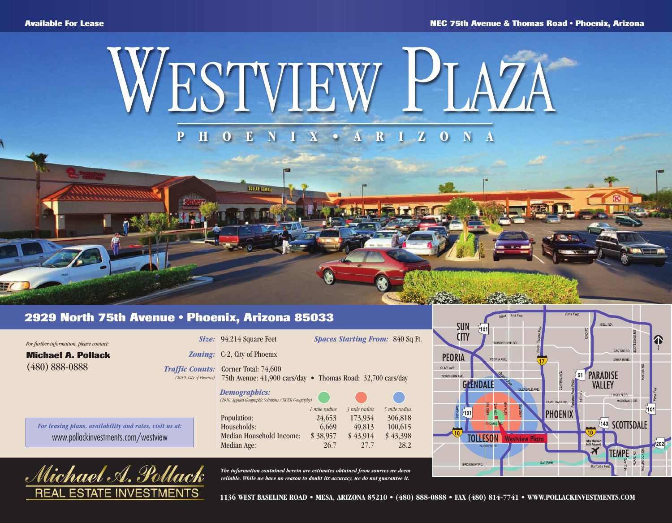## WESTVIEW PLAZA **P H O E N I X • A R I Z O N A**

## **2929 North 75th Avenue • Phoenix, Arizona 85033**

| For further information, please contact: |  |
|------------------------------------------|--|
| <b>Michael A. Pollack</b>                |  |
| $(480) 888 - 0888$                       |  |
|                                          |  |
|                                          |  |

*For leasing plans, availability and rates, visit us at:* www.pollackinvestments.com/westview



|  | Size: 94,214 Square Feet |  |
|--|--------------------------|--|
|--|--------------------------|--|

**MOLLAR SEVELA** 

*Zoning:* C-2, City of Phoenix

*Traffic Counts: (2010: City of Phoenix)* Corner Total: 74,600 75th Avenue: 41,900 cars/day • Thomas Road: 32,700 cars/day

| <b>Demographics:</b>                                   |               |               |               |
|--------------------------------------------------------|---------------|---------------|---------------|
| (2010: Applied Geographic Solutions / TIGER Geography) |               |               |               |
|                                                        | 1 mile radius | 3 mile radius | 5 mile radius |
| Population:                                            | 24,653        | 173,934       | 306,818       |
| Households:                                            | 6,669         | 49,813        | 100,615       |
| Median Household Income:                               | \$38,957      | \$43,914      | \$43,398      |
| Median Age:                                            | 26.7          | 27.7          | 28.2          |

*The information contained herein are estimates obtained from sources we deem reliable. While we have no reason to doubt its accuracy, we do not guarantee it.*



**1136 WEST BASELINE ROAD • MESA, ARIZONA 85210 • (480) 888-0888 • FAX (480) 814-7741 • WWW.POLLACKINVESTMENTS.COM**